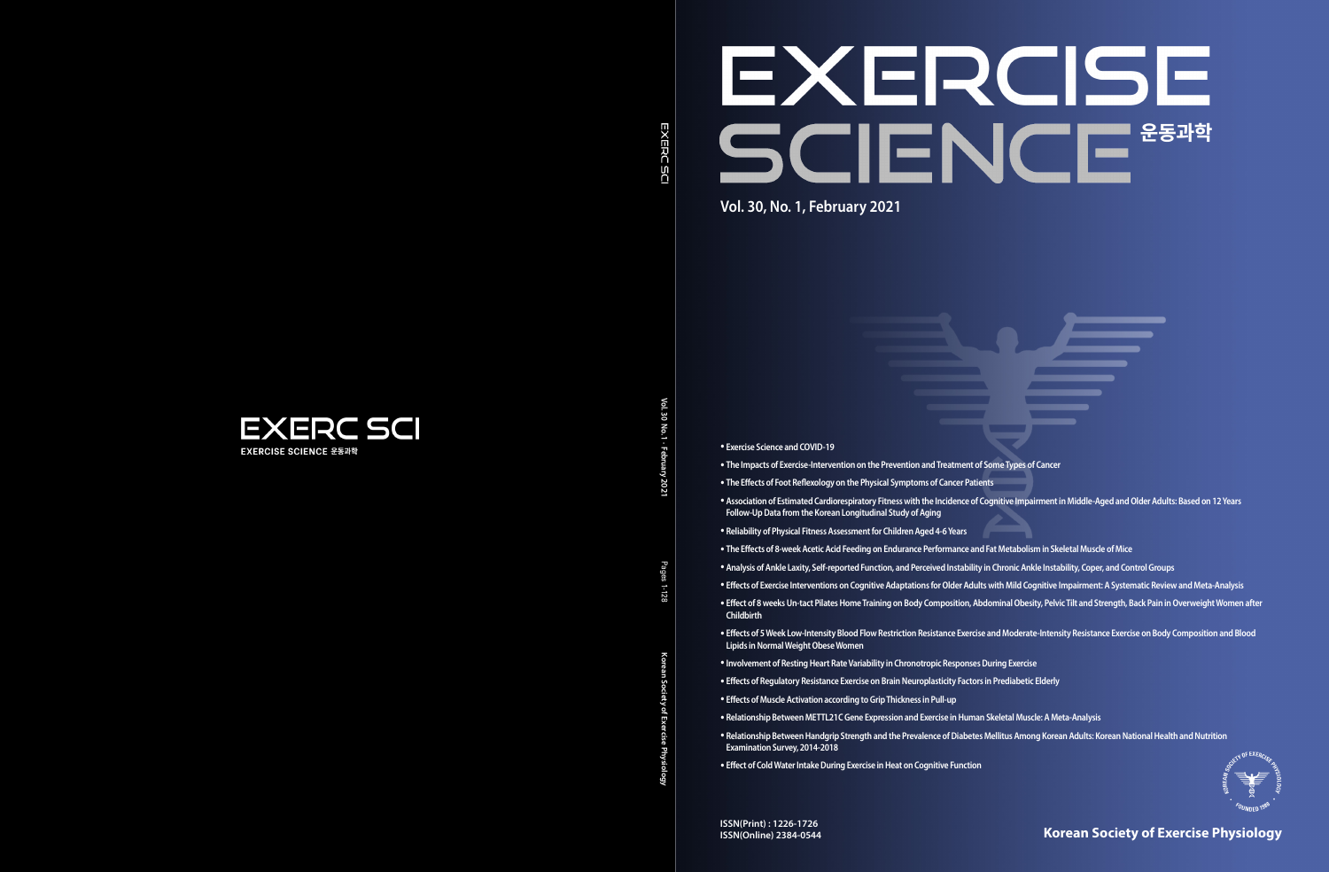## **Korean Society of Exercise Physiology**





Vol. 30 **Vol. 30 No. 1 · February 2021** δ 1 · Februar;

**Korean Society of Exercise Physiology** Pages 1-128

Pages  $1 - 128$ 

• **Exercise Science and COVID-19**

• **Effects of Exercise Interventions on Cognitive Adaptations for Older Adults with Mild Cognitive Impairment: A Systematic Review and Meta-Analysis**

- **The Impacts of Exercise-Intervention on the Prevention and Treatment of Some Types of Cancer**
- **The Effects of Foot Reflexology on the Physical Symptoms of Cancer Patients**
- **Association of Estimated Cardiorespiratory Fitness with the Incidence of Cognitive Impairment in Middle-Aged and Older Adults: Based on 12 Years Follow-Up Data from the Korean Longitudinal Study of Aging**
- **Reliability of Physical Fitness Assessment for Children Aged 4-6 Years**
- **The Effects of 8-week Acetic Acid Feeding on Endurance Performance and Fat Metabolism in Skeletal Muscle of Mice**
- **Analysis of Ankle Laxity, Self-reported Function, and Perceived Instability in Chronic Ankle Instability, Coper, and Control Groups**
- 
- **Childbirth**
- **Lipids in Normal Weight Obese Women**
- **Involvement of Resting Heart Rate Variability in Chronotropic Responses During Exercise**
- **Effects of Regulatory Resistance Exercise on Brain Neuroplasticity Factors in Prediabetic Elderly**
- **Effects of Muscle Activation according to Grip Thickness in Pull-up**
- **Relationship Between METTL21C Gene Expression and Exercise in Human Skeletal Muscle: A Meta-Analysis**
- **Relationship Between Handgrip Strength and the Prevalence of Diabetes Mellitus Among Korean Adults: Korean National Health and Nutrition Examination Survey, 2014-2018**
- **Effect of Cold Water Intake During Exercise in Heat on Cognitive Function**

• **Effect of 8 weeks Un-tact Pilates Home Training on Body Composition, Abdominal Obesity, Pelvic Tilt and Strength, Back Pain in Overweight Women after** 

• **Effects of 5 Week Low-Intensity Blood Flow Restriction Resistance Exercise and Moderate-Intensity Resistance Exercise on Body Composition and Blood**